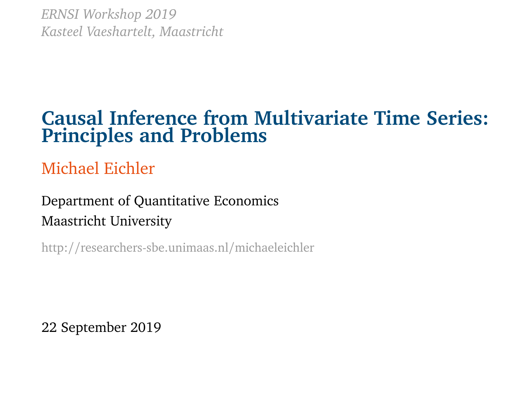*ERNSI Workshop 2019 Kasteel Vaeshartelt, Maastricht*

## **Causal Inference from Multivariate Time Series: Principles and Problems**

Michael Eichler

Department of Quantitative Economics Maastricht University

http://researchers-sbe.unimaas.nl/michaeleichler

22 September 2019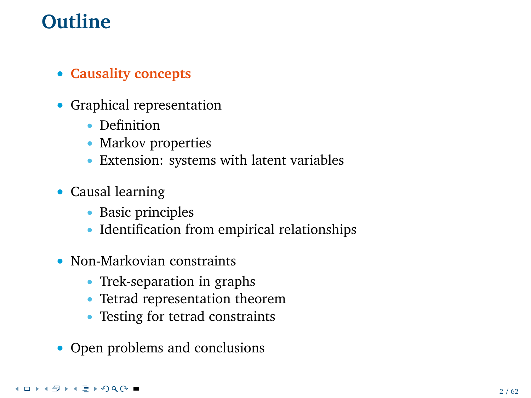# **Outline**

#### • **Causality concepts**

- Graphical representation
	- Definition
	- Markov properties
	- Extension: systems with latent variables
- Causal learning
	- Basic principles
	- Identification from empirical relationships
- Non-Markovian constraints
	- Trek-separation in graphs
	- Tetrad representation theorem
	- Testing for tetrad constraints
- Open problems and conclusions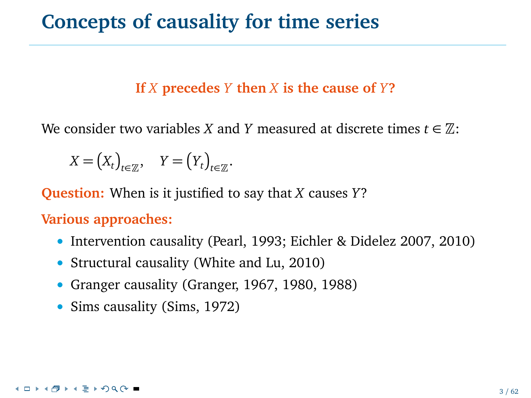## **Concepts of causality for time series**

#### **If** *X* **precedes** *Y* **then** *X* **is the cause of** *Y***?**

We consider two variables *X* and *Y* measured at discrete times  $t \in \mathbb{Z}$ :

$$
X = (X_t)_{t \in \mathbb{Z}}, \quad Y = (Y_t)_{t \in \mathbb{Z}}.
$$

**Question:** When is it justified to say that *X* causes *Y*?

**Various approaches:**

- Intervention causality (Pearl, 1993; Eichler & Didelez 2007, 2010)
- Structural causality (White and Lu, 2010)
- Granger causality (Granger, 1967, 1980, 1988)
- Sims causality (Sims, 1972)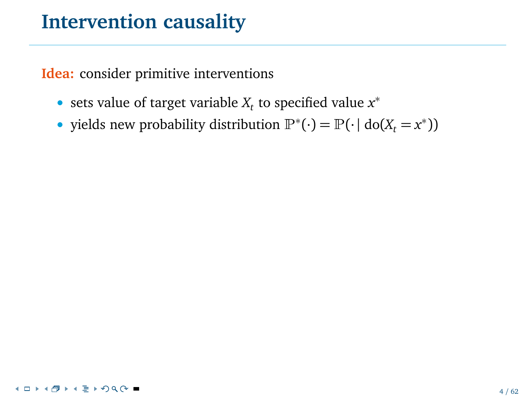**Idea:** consider primitive interventions

- sets value of target variable *X<sup>t</sup>* to specified value *x* ∗
- yields new probability distribution  $\mathbb{P}^*(\cdot) = \mathbb{P}(\cdot | \text{do}(X_t = x^*))$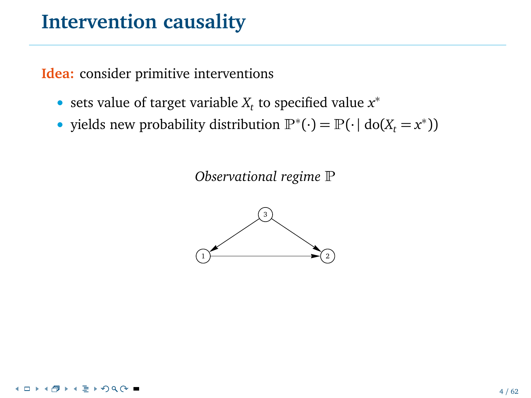**Idea:** consider primitive interventions

- sets value of target variable *X<sup>t</sup>* to specified value *x* ∗
- yields new probability distribution  $\mathbb{P}^*(\cdot) = \mathbb{P}(\cdot | \text{do}(X_t = x^*))$

*Observational regime* <sup>P</sup>

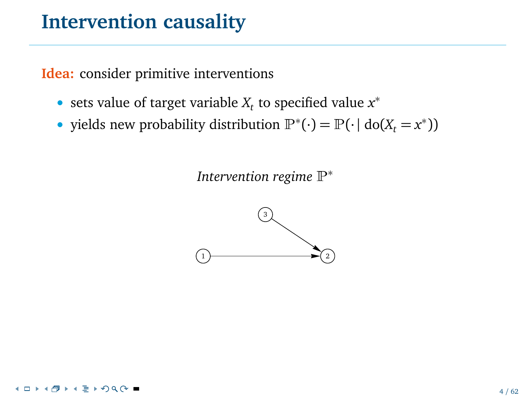**Idea:** consider primitive interventions

- sets value of target variable *X<sup>t</sup>* to specified value *x* ∗
- yields new probability distribution  $\mathbb{P}^*(\cdot) = \mathbb{P}(\cdot | \text{do}(X_t = x^*))$

*Intervention regime*  $\mathbb{P}^*$ 

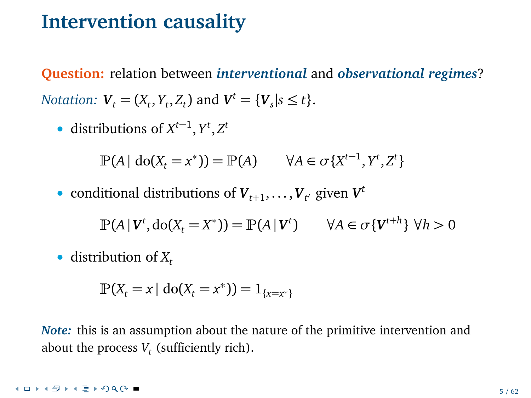**Question:** relation between *interventional* and *observational regimes*? *Notation:*  $V_t = (X_t, Y_t, Z_t)$  and  $V^t = \{V_s | s \le t\}.$ 

• distributions of  $X^{t-1}$ ,  $Y^t$ ,  $Z^t$ 

$$
\mathbb{P}(A \mid \text{do}(X_t = x^*)) = \mathbb{P}(A) \qquad \forall A \in \sigma\{X^{t-1}, Y^t, Z^t\}
$$

• conditional distributions of  $V_{t+1}, \ldots, V_{t'}$  given  $V^t$ 

$$
\mathbb{P}(A \mid \mathbf{V}^t, \mathrm{do}(X_t = X^*)) = \mathbb{P}(A \mid \mathbf{V}^t) \qquad \forall A \in \sigma \{ \mathbf{V}^{t+h} \} \forall h > 0
$$

• distribution of *X<sup>t</sup>*

$$
\mathbb{P}(X_t = x \mid \text{do}(X_t = x^*)) = 1_{\{x = x^*\}}
$$

*Note:* this is an assumption about the nature of the primitive intervention and about the process  $V_t$  (sufficiently rich).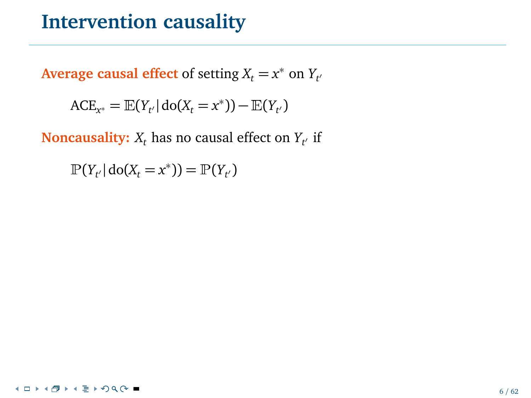Average causal effect of setting  $X_t = x^*$  on  $Y_{t'}$ 

$$
ACE_{x^*} = \mathbb{E}(Y_{t'} | \text{do}(X_t = x^*)) - \mathbb{E}(Y_{t'})
$$

**Noncausality:**  $X_t$  has no causal effect on  $Y_{t'}$  if

 $\mathbb{P}(Y_{t'} | \text{do}(X_t = x^*)) = \mathbb{P}(Y_{t'})$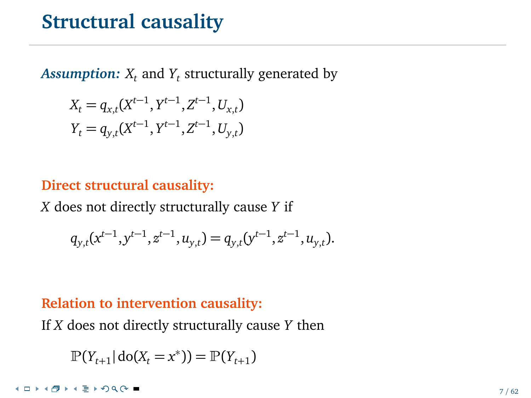## **Structural causality**

 $\boldsymbol{Assumption: X_t}$  and  $Y_t$  structurally generated by

$$
X_t = q_{x,t}(X^{t-1}, Y^{t-1}, Z^{t-1}, U_{x,t})
$$
  

$$
Y_t = q_{y,t}(X^{t-1}, Y^{t-1}, Z^{t-1}, U_{y,t})
$$

#### **Direct structural causality:**

*X* does not directly structurally cause *Y* if

$$
q_{y,t}(x^{t-1}, y^{t-1}, z^{t-1}, u_{y,t}) = q_{y,t}(y^{t-1}, z^{t-1}, u_{y,t}).
$$

#### **Relation to intervention causality:**

If *X* does not directly structurally cause *Y* then

$$
\mathbb{P}(Y_{t+1} | \text{do}(X_t = x^*)) = \mathbb{P}(Y_{t+1})
$$

**≮ロト⊀母ト⊀ ミトのQ ⊙ ■**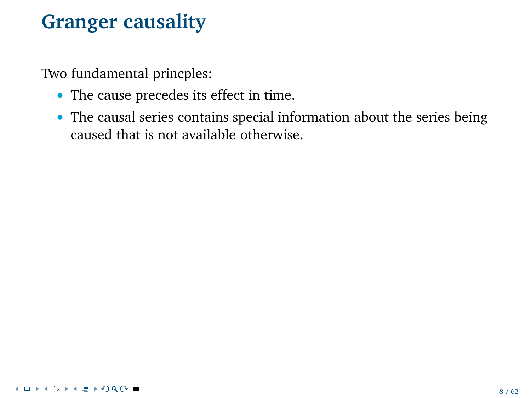Two fundamental princples:

- The cause precedes its effect in time.
- The causal series contains special information about the series being caused that is not available otherwise.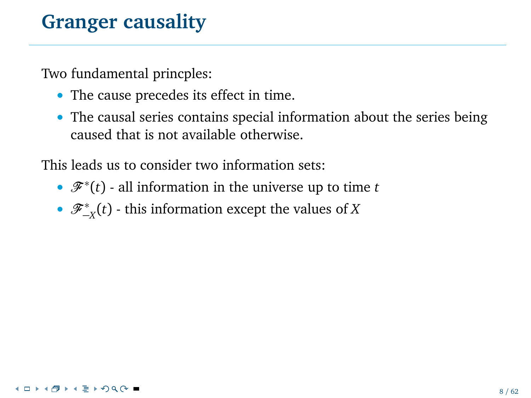Two fundamental princples:

- The cause precedes its effect in time.
- The causal series contains special information about the series being caused that is not available otherwise.

This leads us to consider two information sets:

- $\mathcal{F}^*(t)$  all information in the universe up to time *t*
- F <sup>∗</sup> −*X* (*t*) this information except the values of *X*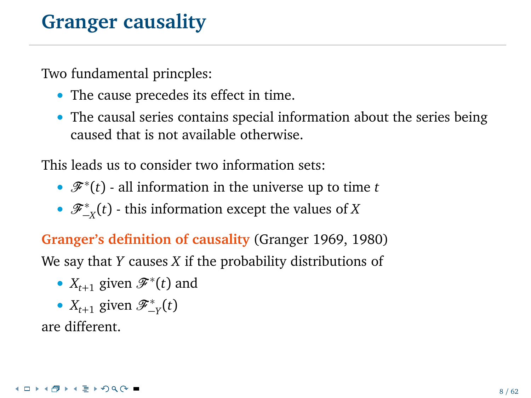Two fundamental princples:

- The cause precedes its effect in time.
- The causal series contains special information about the series being caused that is not available otherwise.

This leads us to consider two information sets:

- $\mathcal{F}^*(t)$  all information in the universe up to time *t*
- F <sup>∗</sup> −*X* (*t*) this information except the values of *X*

**Granger's definition of causality** (Granger 1969, 1980) We say that *Y* causes *X* if the probability distributions of

- $X_{t+1}$  given  $\mathscr{F}^*(t)$  and
- $X_{t+1}$  given  $\mathscr{F}^*_{-Y}(t)$

are different.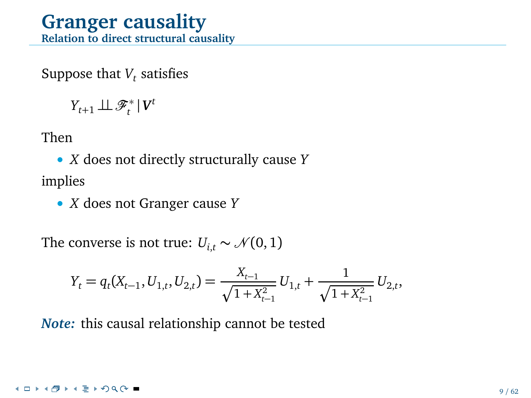#### **Granger causality Relation to direct structural causality**

Suppose that  $V_t$  satisfies

 $Y_{t+1} \perp \!\!\! \perp \mathscr{F}^*_t | V^t$ 

Then

• *X* does not directly structurally cause *Y* implies

• *X* does not Granger cause *Y*

The converse is not true:  $U_{i,t} \sim \mathcal{N}(0, 1)$ 

$$
Y_t = q_t(X_{t-1}, U_{1,t}, U_{2,t}) = \frac{X_{t-1}}{\sqrt{1 + X_{t-1}^2}} U_{1,t} + \frac{1}{\sqrt{1 + X_{t-1}^2}} U_{2,t},
$$

*Note:* this causal relationship cannot be tested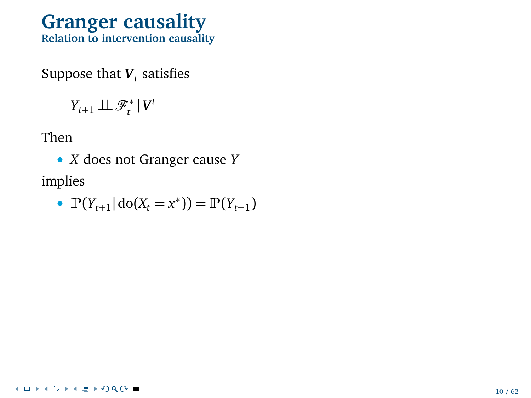### **Granger causality Relation to intervention causality**

Suppose that  $\boldsymbol{V}_t$  satisfies

 $Y_{t+1} \perp \!\!\! \perp \mathscr{F}^*_t | V^t$ 

Then

• *X* does not Granger cause *Y* implies

• 
$$
\mathbb{P}(Y_{t+1} | \text{do}(X_t = x^*)) = \mathbb{P}(Y_{t+1})
$$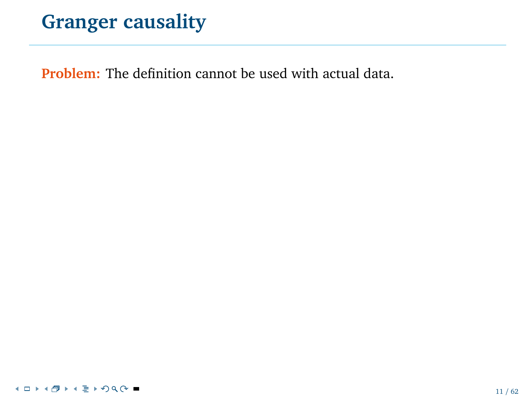**Problem:** The definition cannot be used with actual data.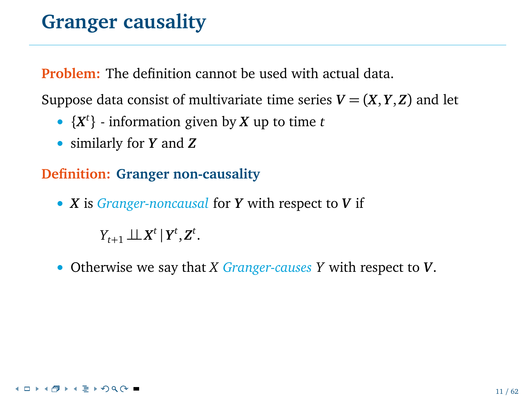**Problem:** The definition cannot be used with actual data.

Suppose data consist of multivariate time series  $V = (X, Y, Z)$  and let

- {*X t* } information given by *X* up to time *t*
- similarly for *Y* and *Z*

#### **Definition: Granger non-causality**

• *X* is *Granger-noncausal* for *Y* with respect to *V* if

 $Y_{t+1} \perp X^t | Y^t, Z^t$ .

• Otherwise we say that *X Granger-causes Y* with respect to *V*.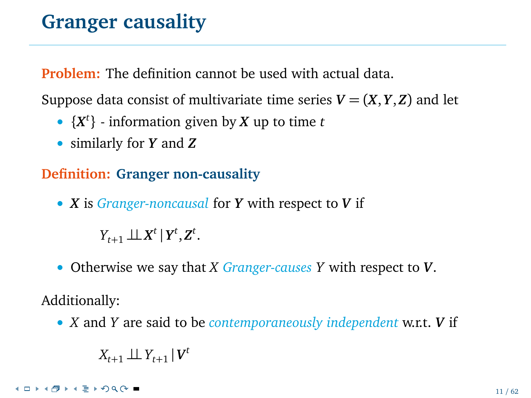**Problem:** The definition cannot be used with actual data.

Suppose data consist of multivariate time series  $V = (X, Y, Z)$  and let

- {*X t* } information given by *X* up to time *t*
- similarly for *Y* and *Z*

### **Definition: Granger non-causality**

• *X* is *Granger-noncausal* for *Y* with respect to *V* if

 $Y_{t+1} \perp X^t | Y^t, Z^t$ .

• Otherwise we say that *X Granger-causes Y* with respect to *V*.

Additionally:

• *X* and *Y* are said to be *contemporaneously independent* w.r.t. *V* if

$$
X_{t+1} \perp \!\!\! \perp Y_{t+1} \,|\, \bm{V}^t
$$

**≮ロト⊀母ト⊀ ミトのQ ⊙ ■**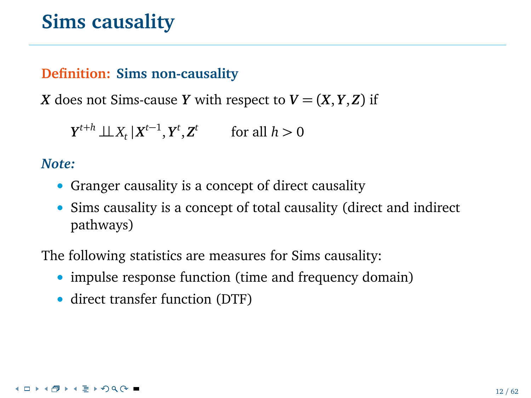# **Sims causality**

#### **Definition: Sims non-causality**

*X* does not Sims-cause *Y* with respect to  $V = (X, Y, Z)$  if

 $Y^{t+h} \perp \!\!\! \perp X_t | X^{t-1}, Y^t, Z^t$  for all  $h > 0$ 

#### *Note:*

- Granger causality is a concept of direct causality
- Sims causality is a concept of total causality (direct and indirect pathways)

The following statistics are measures for Sims causality:

- impulse response function (time and frequency domain)
- direct transfer function (DTF)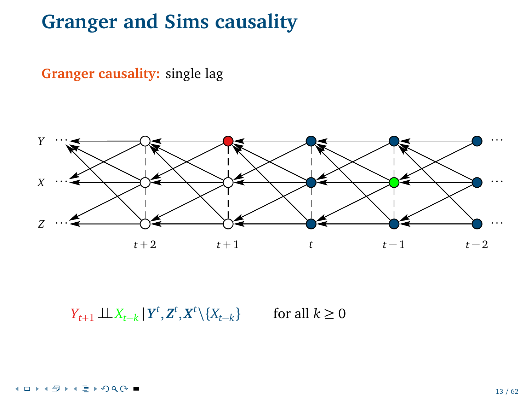**Granger causality:** single lag



*Y*<sub>*t*+1</sub> ⊥*X*<sub>*t*−*k*</sub> |  $Y^t$ ,  $Z^t$ ,  $X^t$  \{ $X_{t-k}$ for all  $k \geq 0$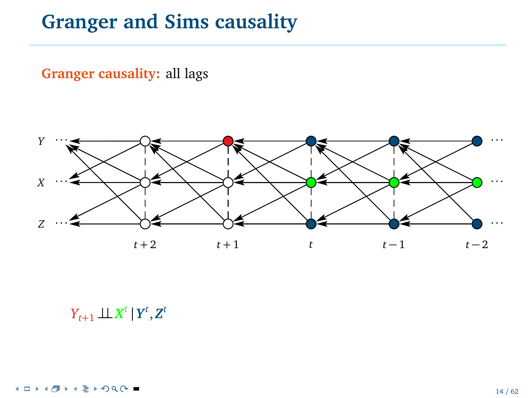**Granger causality:** all lags



 $Y_{t+1} \perp \!\!\! \perp X^t \, | \, Y^t, Z^t$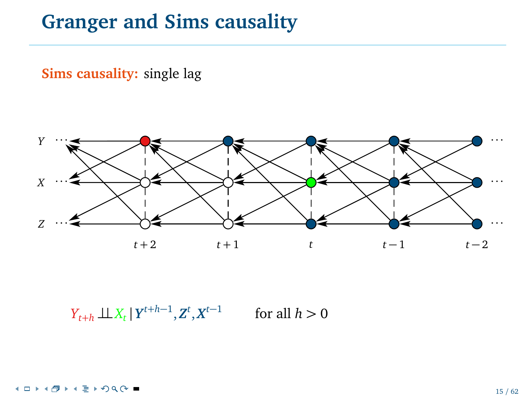**Sims causality:** single lag



 $Y_{t+h} \perp \!\!\! \perp X_t | Y^{t+h-1}, Z^t, X^{t-1}$  for all  $h > 0$ 

4 0 8 @ ▶ ◀ 重 ▶ ⊙ Q ⊙ ■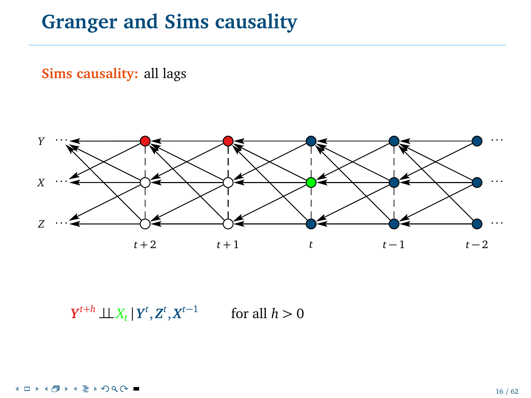**Sims causality:** all lags



 $Y^{t+h}$   $\perp \!\!\! \perp X_t \,|\, Y^t, Z^t, X^{t-1}$ for all  $h > 0$ 

4 0 8 @ ▶ ◀ 重 ▶ ⊙ Q ⊙ ■ ×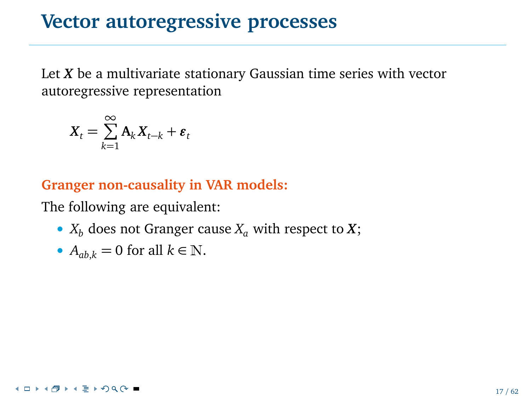## **Vector autoregressive processes**

Let *X* be a multivariate stationary Gaussian time series with vector autoregressive representation

$$
X_t = \sum_{k=1}^{\infty} A_k X_{t-k} + \varepsilon_t
$$

#### **Granger non-causality in VAR models:**

The following are equivalent:

•  $X_b$  does not Granger cause  $X_a$  with respect to  $X$ ;

• 
$$
A_{ab,k} = 0
$$
 for all  $k \in \mathbb{N}$ .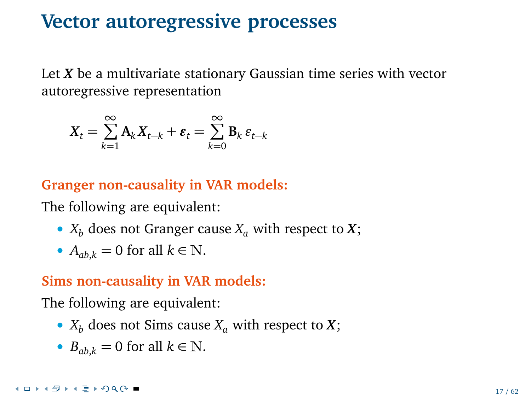## **Vector autoregressive processes**

Let *X* be a multivariate stationary Gaussian time series with vector autoregressive representation

$$
X_t = \sum_{k=1}^{\infty} \mathbf{A}_k X_{t-k} + \varepsilon_t = \sum_{k=0}^{\infty} \mathbf{B}_k \varepsilon_{t-k}
$$

**Granger non-causality in VAR models:**

The following are equivalent:

- $X_b$  does not Granger cause  $X_a$  with respect to  $X$ ;
- $A_{ab,k} = 0$  for all  $k \in \mathbb{N}$ .

#### **Sims non-causality in VAR models:**

The following are equivalent:

- $X_b$  does not Sims cause  $X_a$  with respect to  $X$ ;
- $B_{ab,k} = 0$  for all  $k \in \mathbb{N}$ .

#### **≮ロト⊀母ト⊀ ミトのQ ⊙ ■**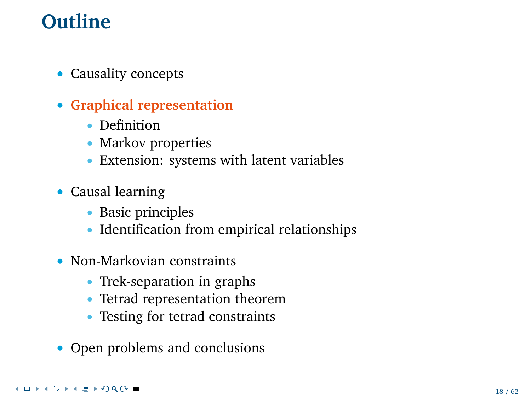# **Outline**

- Causality concepts
- **Graphical representation**
	- Definition
	- Markov properties
	- Extension: systems with latent variables
- Causal learning
	- Basic principles
	- Identification from empirical relationships
- Non-Markovian constraints
	- Trek-separation in graphs
	- Tetrad representation theorem
	- Testing for tetrad constraints
- Open problems and conclusions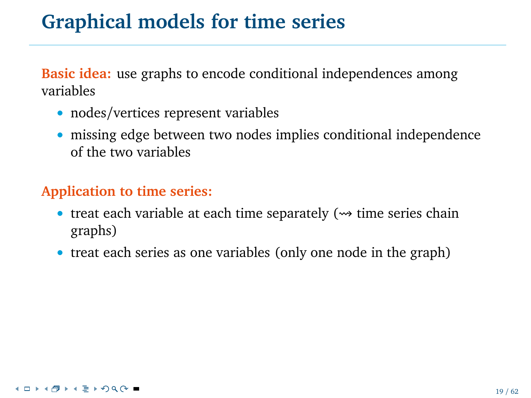**Basic idea:** use graphs to encode conditional independences among variables

- nodes/vertices represent variables
- missing edge between two nodes implies conditional independence of the two variables

#### **Application to time series:**

- treat each variable at each time separately  $(\rightsquigarrow$  time series chain graphs)
- treat each series as one variables (only one node in the graph)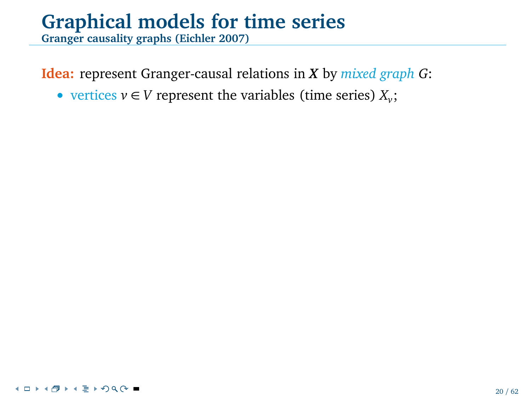**Granger causality graphs (Eichler 2007)**

**Idea:** represent Granger-causal relations in *X* by *mixed graph G*:

• vertices  $v \in V$  represent the variables (time series)  $X_v$ ;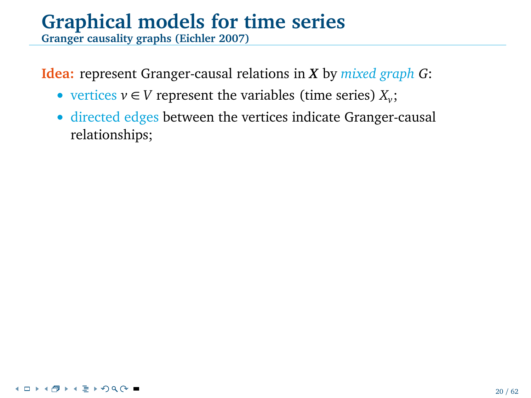**Granger causality graphs (Eichler 2007)**

**Idea:** represent Granger-causal relations in *X* by *mixed graph G*:

- vertices  $v \in V$  represent the variables (time series)  $X_v$ ;
- directed edges between the vertices indicate Granger-causal relationships;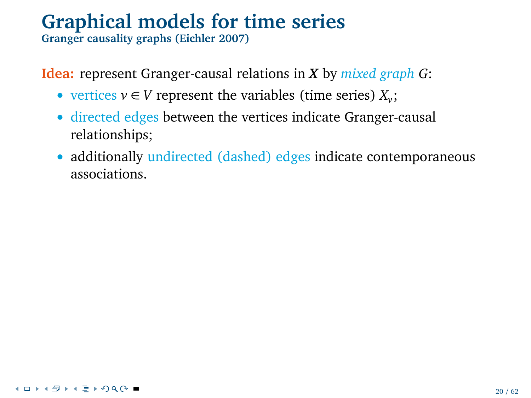**Granger causality graphs (Eichler 2007)**

**Idea:** represent Granger-causal relations in *X* by *mixed graph G*:

- vertices  $v \in V$  represent the variables (time series)  $X_v$ ;
- directed edges between the vertices indicate Granger-causal relationships;
- additionally undirected (dashed) edges indicate contemporaneous associations.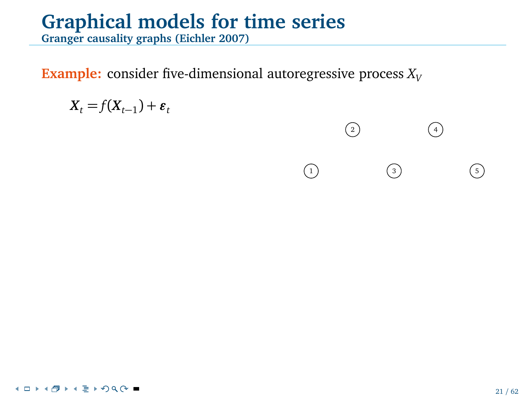**Granger causality graphs (Eichler 2007)**

**Example:** consider five-dimensional autoregressive process  $X_V$ 

$$
X_t = f(X_{t-1}) + \varepsilon_t
$$

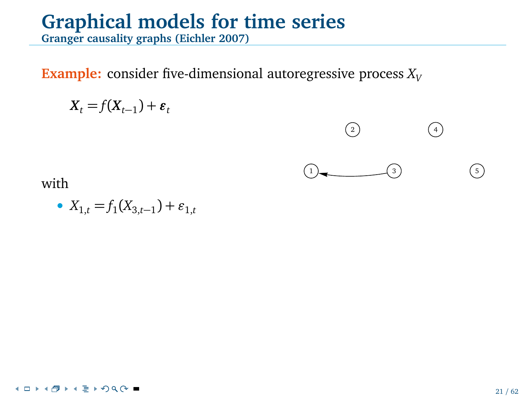**Granger causality graphs (Eichler 2007)**

**Example:** consider five-dimensional autoregressive process  $X_V$ 

$$
X_t = f(X_{t-1}) + \varepsilon_t
$$



2 4

• 
$$
X_{1,t} = f_1(X_{3,t-1}) + \varepsilon_{1,t}
$$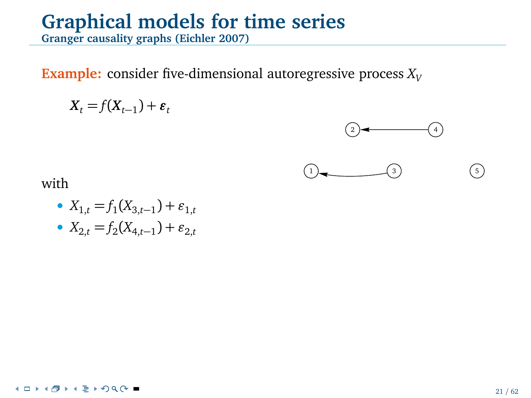**Granger causality graphs (Eichler 2007)**

**Example:** consider five-dimensional autoregressive process  $X_V$ 

$$
X_t = f(X_{t-1}) + \varepsilon_t
$$





• 
$$
X_{1,t} = f_1(X_{3,t-1}) + \varepsilon_{1,t}
$$

• 
$$
X_{2,t} = f_2(X_{4,t-1}) + \varepsilon_{2,t}
$$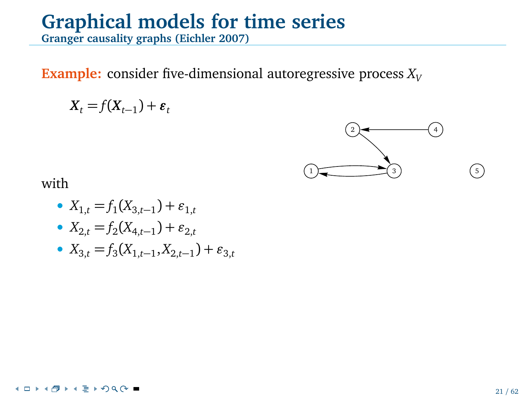**Granger causality graphs (Eichler 2007)**

**Example:** consider five-dimensional autoregressive process  $X_V$ 

$$
X_t = f(X_{t-1}) + \varepsilon_t
$$



- $X_{1,t} = f_1(X_{3,t-1}) + \varepsilon_{1,t}$
- $\bullet$  *X*<sub>2,*t*</sub> = *f*<sub>2</sub>(*X*<sub>4,*t*−1</sub>) + *ε*<sub>2,*t*</sub>
- $X_{3,t} = f_3(X_{1,t-1}, X_{2,t-1}) + \varepsilon_{3,t}$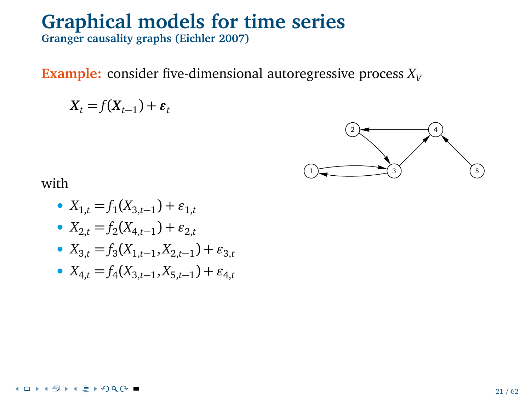**Granger causality graphs (Eichler 2007)**

**Example:** consider five-dimensional autoregressive process  $X_V$ 

$$
X_t = f(X_{t-1}) + \varepsilon_t
$$



with

- $X_{1,t} = f_1(X_{3,t-1}) + \varepsilon_{1,t}$
- $\bullet$  *X*<sub>2,*t*</sub> = *f*<sub>2</sub>(*X*<sub>4,*t*−1</sub>) + *ε*<sub>2,*t*</sub>
- $X_{3,t} = f_3(X_{1,t-1}, X_{2,t-1}) + \varepsilon_{3,t}$
- $\bullet$  *X*<sub>4,*t*</sub> = *f*<sub>4</sub>(*X*<sub>3,*t*−1</sub>, *X*<sub>5,*t*−1</sub>) + *ε*<sub>4,*t*</sub>

#### **∢□▶४ਗ਼▶∢**⋐▶⊙Q⊙■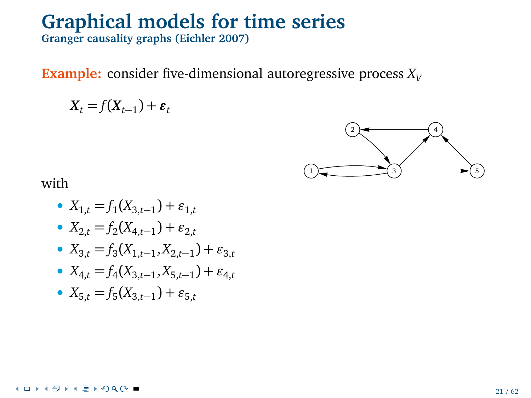**Granger causality graphs (Eichler 2007)**

**Example:** consider five-dimensional autoregressive process  $X<sub>V</sub>$ 

$$
X_t = f(X_{t-1}) + \varepsilon_t
$$



with

- $X_{1,t} = f_1(X_{3,t-1}) + \varepsilon_{1,t}$
- $\bullet$  *X*<sub>2,*t*</sub> = *f*<sub>2</sub>(*X*<sub>4,*t*−1</sub>) + *ε*<sub>2,*t*</sub>
- $X_{3,t} = f_3(X_{1,t-1}, X_{2,t-1}) + \varepsilon_{3,t}$
- $\bullet$  *X*<sub>4,*t*</sub> = *f*<sub>4</sub>(*X*<sub>3,*t*−1</sub>, *X*<sub>5,*t*−1</sub>) + *ε*<sub>4,*t*</sub>
- $X_{5,t} = f_5(X_{3,t-1}) + \varepsilon_{5,t}$

#### **≮ロト⊀母ト⊀ ミトのQ ⊙ ■**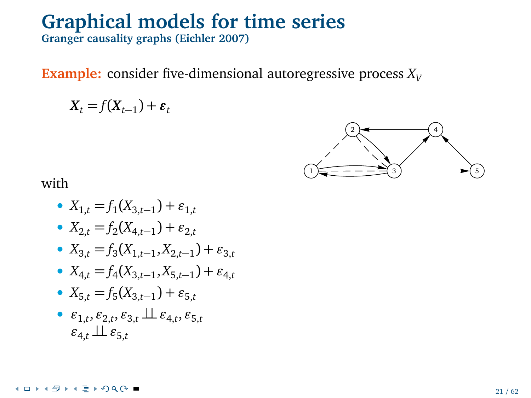**Granger causality graphs (Eichler 2007)**

**Example:** consider five-dimensional autoregressive process  $X_V$ 

$$
X_t = f(X_{t-1}) + \varepsilon_t
$$



- $X_{1,t} = f_1(X_{3,t-1}) + \varepsilon_{1,t}$
- $\bullet$  *X*<sub>2,*t*</sub> = *f*<sub>2</sub>(*X*<sub>4,*t*−1</sub>) + *ε*<sub>2,*t*</sub>
- $X_{3,t} = f_3(X_{1,t-1}, X_{2,t-1}) + \varepsilon_{3,t}$
- $\bullet$  *X*<sub>4,*t*</sub> = *f*<sub>4</sub>(*X*<sub>3,*t*−1</sub>, *X*<sub>5,*t*−1</sub>) + *ε*<sub>4,*t*</sub>
- $X_{5,t} = f_5(X_{3,t-1}) + \varepsilon_{5,t}$
- *ǫ*1,*<sup>t</sup>* , *ǫ*2,*<sup>t</sup>* , *ǫ*3,*<sup>t</sup>* ⊥⊥*ǫ*4,*<sup>t</sup>* , *ǫ*5,*<sup>t</sup>*  $\varepsilon_{4,t} \perp \!\!\! \perp \varepsilon_{5,t}$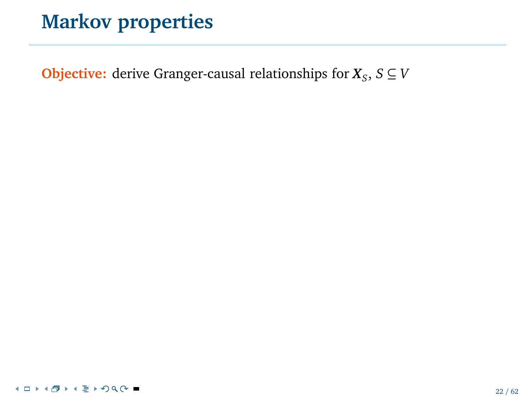**Objective:** derive Granger-causal relationships for  $X_s$ ,  $S \subseteq V$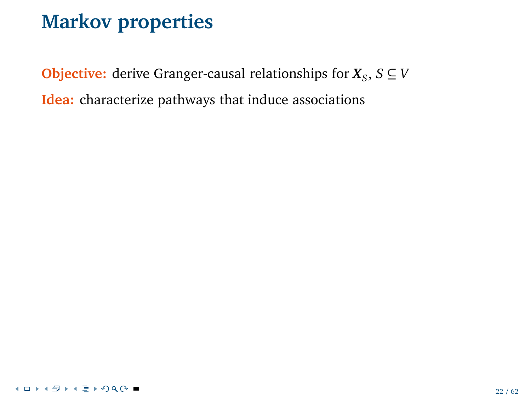**Objective:** derive Granger-causal relationships for  $X_s$ ,  $S \subseteq V$ 

**Idea:** characterize pathways that induce associations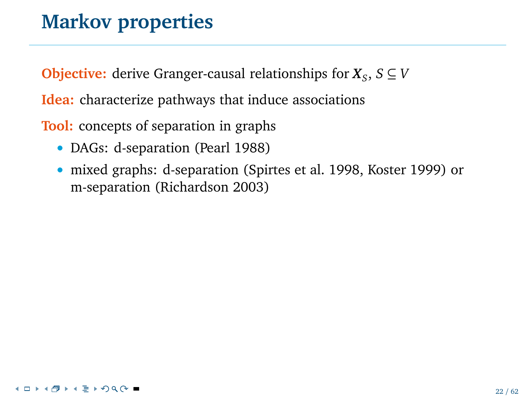**Objective:** derive Granger-causal relationships for  $X_s$ ,  $S \subseteq V$ 

**Idea:** characterize pathways that induce associations

**Tool:** concepts of separation in graphs

- DAGs: d-separation (Pearl 1988)
- mixed graphs: d-separation (Spirtes et al. 1998, Koster 1999) or m-separation (Richardson 2003)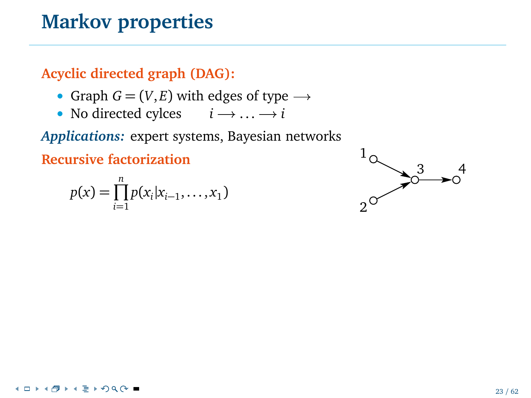**Acyclic directed graph (DAG):**

- Graph  $G = (V, E)$  with edges of type  $\rightarrow$
- No directed cylces  $i \rightarrow \dots \rightarrow i$

*Applications:* expert systems, Bayesian networks

**Recursive factorization**

$$
p(x) = \prod_{i=1}^{n} p(x_i | x_{i-1}, \dots, x_1)
$$

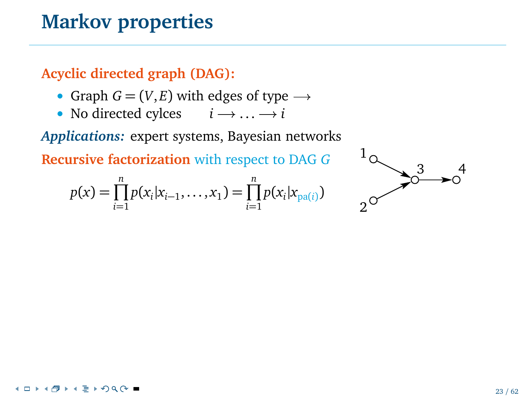**Acyclic directed graph (DAG):**

- Graph  $G = (V, E)$  with edges of type  $\rightarrow$
- No directed cylces  $i \rightarrow \dots \rightarrow i$

*Applications:* expert systems, Bayesian networks

**Recursive factorization** with respect to DAG *G*

$$
p(x) = \prod_{i=1}^{n} p(x_i | x_{i-1}, \dots, x_1) = \prod_{i=1}^{n} p(x_i | x_{pa(i)})
$$

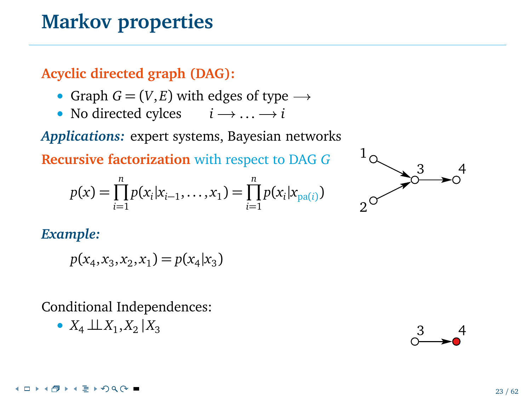**Acyclic directed graph (DAG):**

- Graph  $G = (V, E)$  with edges of type  $\rightarrow$
- No directed cylces  $i \rightarrow \dots \rightarrow i$

*Applications:* expert systems, Bayesian networks

**Recursive factorization** with respect to DAG *G*

$$
p(x) = \prod_{i=1}^{n} p(x_i | x_{i-1}, \dots, x_1) = \prod_{i=1}^{n} p(x_i | x_{pa(i)})
$$



*Example:*

$$
p(x_4, x_3, x_2, x_1) = p(x_4 | x_3)
$$

$$
\bullet \ X_4 \perp \!\!\! \perp X_1, X_2 \mid X_3
$$

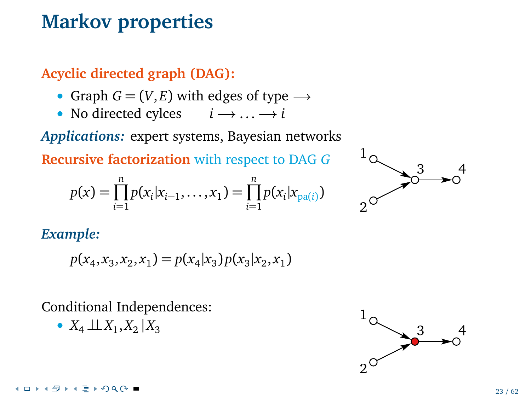**Acyclic directed graph (DAG):**

- Graph  $G = (V, E)$  with edges of type  $\rightarrow$
- No directed cylces  $i \rightarrow \dots \rightarrow i$

*Applications:* expert systems, Bayesian networks

**Recursive factorization** with respect to DAG *G*

$$
p(x) = \prod_{i=1}^{n} p(x_i | x_{i-1}, \dots, x_1) = \prod_{i=1}^{n} p(x_i | x_{pa(i)})
$$



*Example:*

$$
p(x_4, x_3, x_2, x_1) = p(x_4 | x_3) p(x_3 | x_2, x_1)
$$

Conditional Independences:

•  $X_4 \perp X_1, X_2$ 

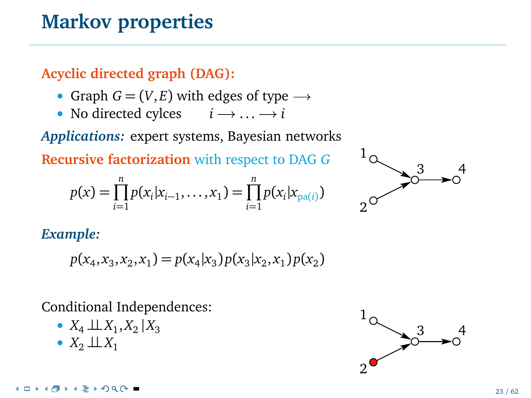**Acyclic directed graph (DAG):**

- Graph  $G = (V, E)$  with edges of type  $\rightarrow$
- No directed cylces  $i \rightarrow \dots \rightarrow i$

*Applications:* expert systems, Bayesian networks

**Recursive factorization** with respect to DAG *G*

$$
p(x) = \prod_{i=1}^{n} p(x_i | x_{i-1}, \dots, x_1) = \prod_{i=1}^{n} p(x_i | x_{pa(i)})
$$



*Example:*

$$
p(x_4, x_3, x_2, x_1) = p(x_4|x_3)p(x_3|x_2, x_1)p(x_2)
$$

- $X_4 \perp\!\!\!\perp X_1, X_2 \mid X_3$
- $X_2 \perp\!\!\!\perp X_1$

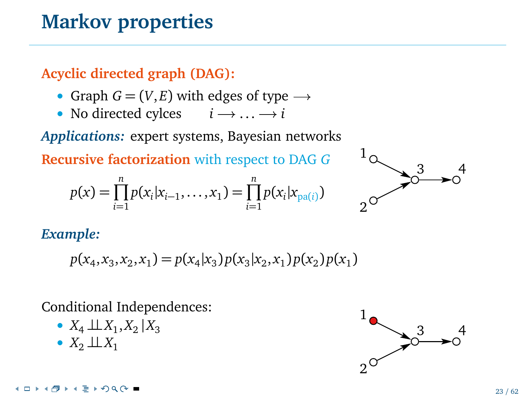**Acyclic directed graph (DAG):**

- Graph  $G = (V, E)$  with edges of type  $\rightarrow$
- No directed cylces  $i \rightarrow \dots \rightarrow i$

*Applications:* expert systems, Bayesian networks

**Recursive factorization** with respect to DAG *G*

$$
p(x) = \prod_{i=1}^{n} p(x_i | x_{i-1}, \dots, x_1) = \prod_{i=1}^{n} p(x_i | x_{pa(i)})
$$



*Example:*

$$
p(x_4, x_3, x_2, x_1) = p(x_4|x_3)p(x_3|x_2, x_1)p(x_2)p(x_1)
$$

- $X_4 \perp\!\!\!\perp X_1, X_2 \mid X_3$
- $X_2 \perp\!\!\!\perp X_1$

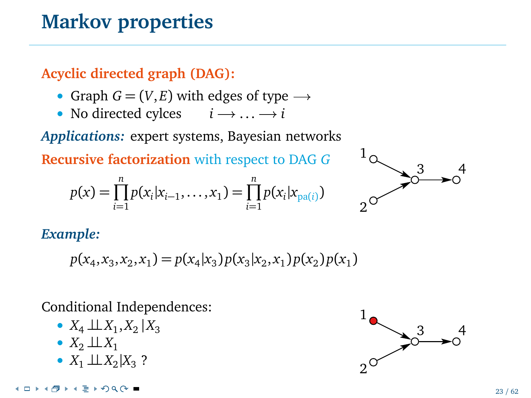**Acyclic directed graph (DAG):**

- Graph  $G = (V, E)$  with edges of type  $\rightarrow$
- No directed cylces  $i \rightarrow \dots \rightarrow i$

*Applications:* expert systems, Bayesian networks

**Recursive factorization** with respect to DAG *G*

$$
p(x) = \prod_{i=1}^{n} p(x_i | x_{i-1}, \dots, x_1) = \prod_{i=1}^{n} p(x_i | x_{pa(i)})
$$



*Example:*

$$
p(x_4, x_3, x_2, x_1) = p(x_4|x_3)p(x_3|x_2, x_1)p(x_2)p(x_1)
$$

- $X_4 \perp\!\!\!\perp X_1, X_2 \mid X_3$
- $X_2 \perp\!\!\!\perp X_1$
- $X_1 \perp X_2 | X_3$  ?

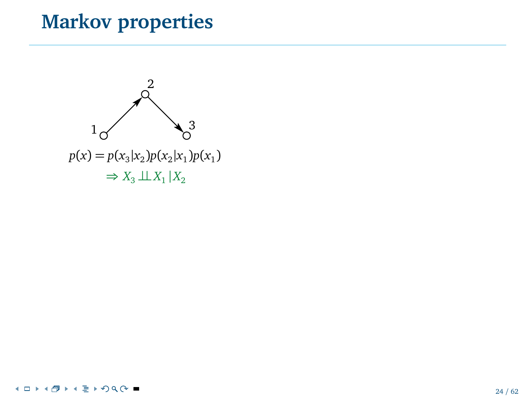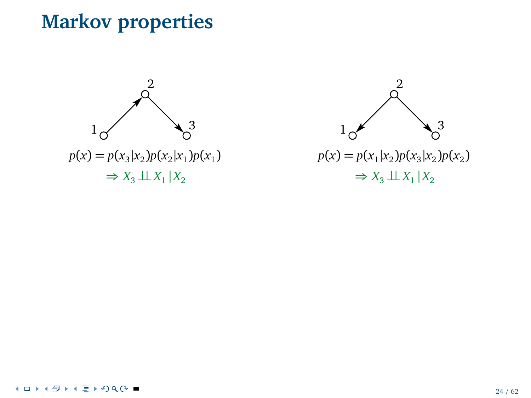

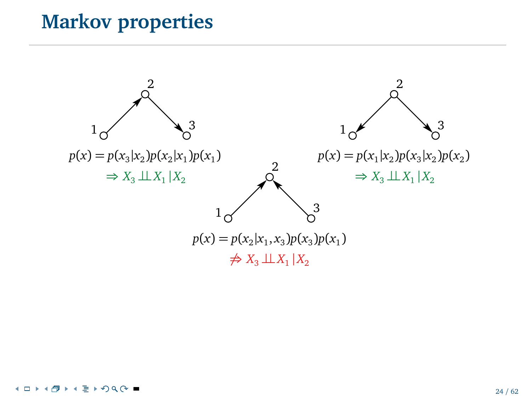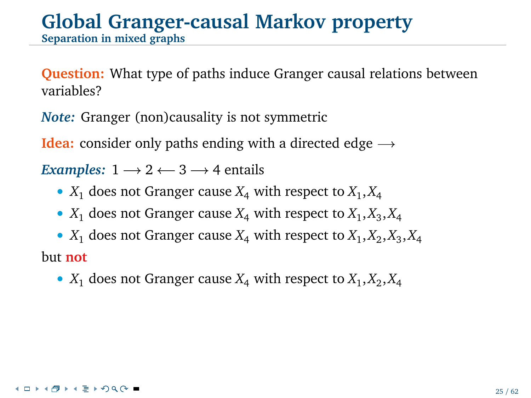# **Global Granger-causal Markov property**

**Separation in mixed graphs**

**Question:** What type of paths induce Granger causal relations between variables?

*Note:* Granger (non)causality is not symmetric

**Idea:** consider only paths ending with a directed edge  $\rightarrow$ 

*Examples:*  $1 \longrightarrow 2 \leftarrow 3 \longrightarrow 4$  entails

- $X_1$  does not Granger cause  $X_4$  with respect to  $X_1, X_4$
- $X_1$  does not Granger cause  $X_4$  with respect to  $X_1, X_3, X_4$
- $X_1$  does not Granger cause  $X_4$  with respect to  $X_1, X_2, X_3, X_4$ but **not**
	- $X_1$  does not Granger cause  $X_4$  with respect to  $X_1, X_2, X_4$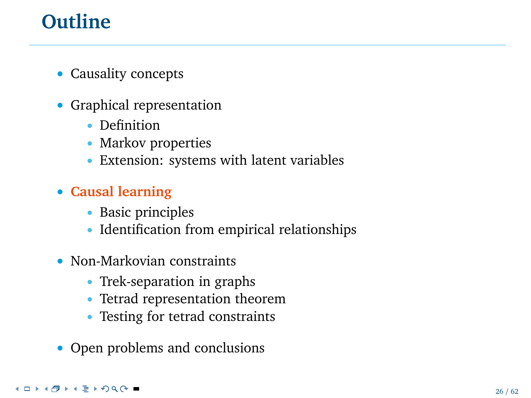# **Outline**

- Causality concepts
- Graphical representation
	- Definition
	- Markov properties
	- Extension: systems with latent variables
- **Causal learning**
	- Basic principles
	- Identification from empirical relationships
- Non-Markovian constraints
	- Trek-separation in graphs
	- Tetrad representation theorem
	- Testing for tetrad constraints
- Open problems and conclusions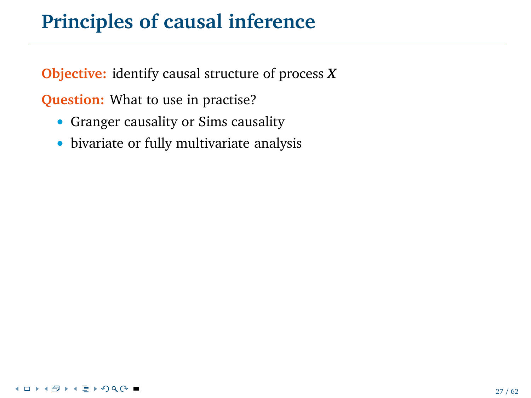# **Principles of causal inference**

**Objective:** identify causal structure of process *X*

**Question:** What to use in practise?

- Granger causality or Sims causality
- bivariate or fully multivariate analysis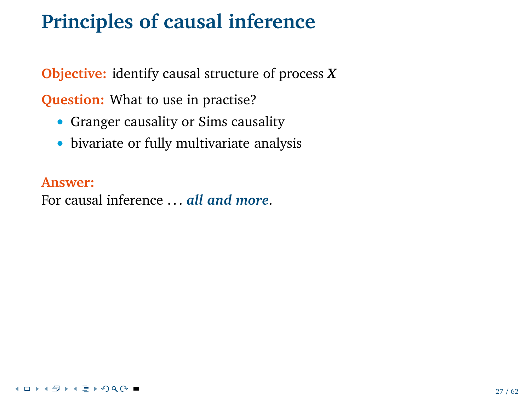# **Principles of causal inference**

**Objective:** identify causal structure of process *X*

**Question:** What to use in practise?

- Granger causality or Sims causality
- bivariate or fully multivariate analysis

**Answer:**

For causal inference ... *all and more*.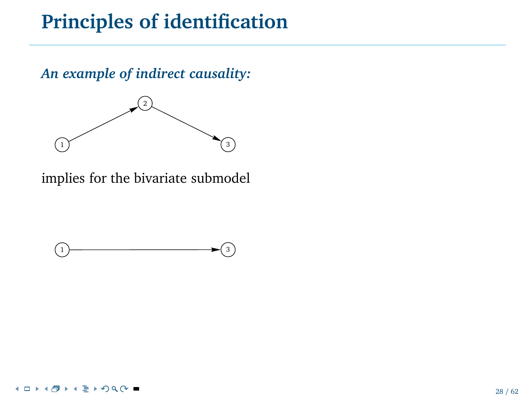### **Principles of identification**

*An example of indirect causality:*



implies for the bivariate submodel

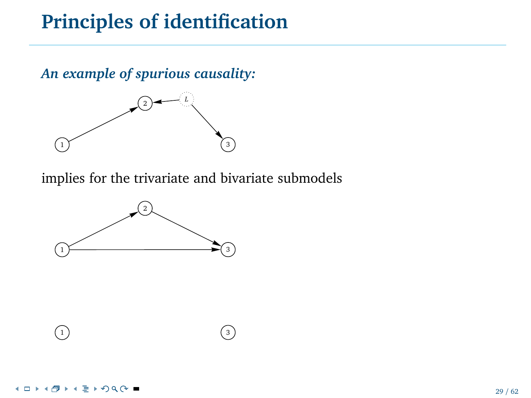# **Principles of identification**

*An example of spurious causality:*



implies for the trivariate and bivariate submodels



 $\begin{pmatrix} 1 \end{pmatrix}$  (3)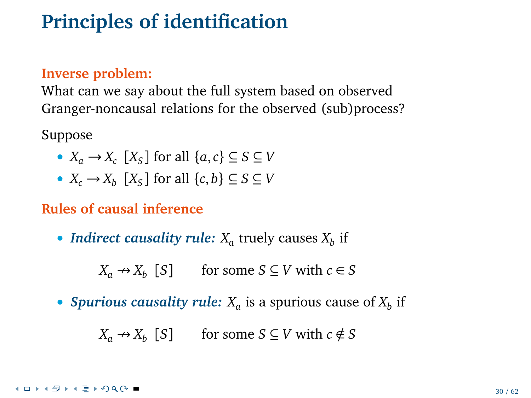#### **Inverse problem:**

What can we say about the full system based on observed Granger-noncausal relations for the observed (sub)process?

Suppose

- $X_a \rightarrow X_c$  [ $X_s$ ] for all  $\{a, c\} \subseteq S \subseteq V$
- $X_c \to X_b \ [X_S]$  for all  $\{c, b\} \subseteq S \subseteq V$

#### **Rules of causal inference**

• *Indirect causality rule:*  $X_a$  truely causes  $X_b$  if

 $X_a \rightarrow X_b$  [*S*] for some *S* ⊆ *V* with *c* ∈ *S* 

• *Spurious causality rule:*  $X_a$  is a spurious cause of  $X_b$  if

 $X_a \rightarrow X_b$  [*S*] for some *S* ⊆ *V* with *c* ∉ *S*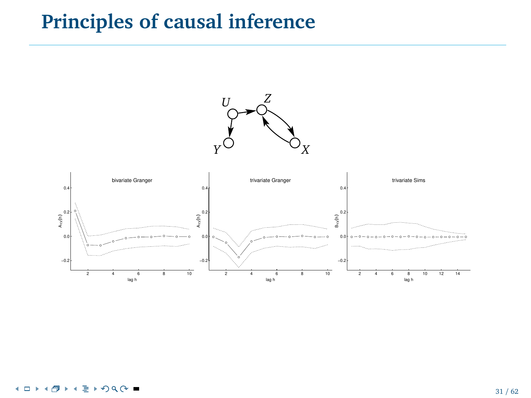### **Principles of causal inference**

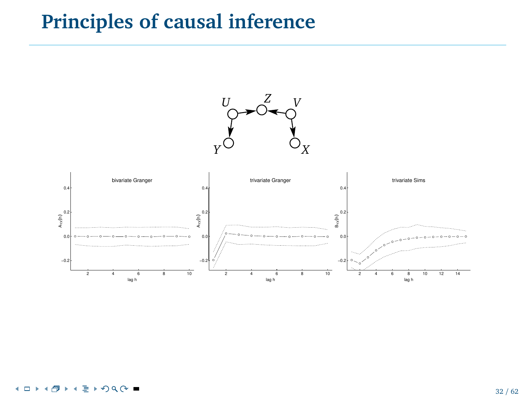### **Principles of causal inference**

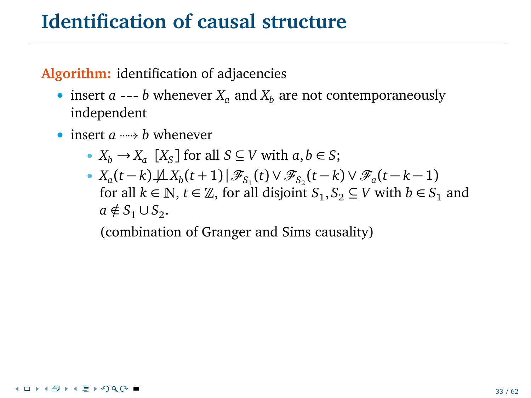**Algorithm:** identification of adjacencies

- insert  $a \rightarrow b$  whenever  $X_a$  and  $X_b$  are not contemporaneously independent
- insert  $a \rightarrow b$  whenever
	- $X_b \to X_a$   $[X_S]$  for all  $S \subseteq V$  with  $a, b \in S$ ;
	- $X_a(t-k)\cancel{\perp} X_b(t+1) | \mathscr{F}_{S_1}(t) \vee \mathscr{F}_{S_2}(t-k) \vee \mathscr{F}_a(t-k-1)$ for all  $k \in \mathbb{N}$ ,  $t \in \mathbb{Z}$ , for all disjoint  $S_1, S_2 \subseteq V$  with  $b \in S_1$  and  $a \notin S_1 \cup S_2$ .

(combination of Granger and Sims causality)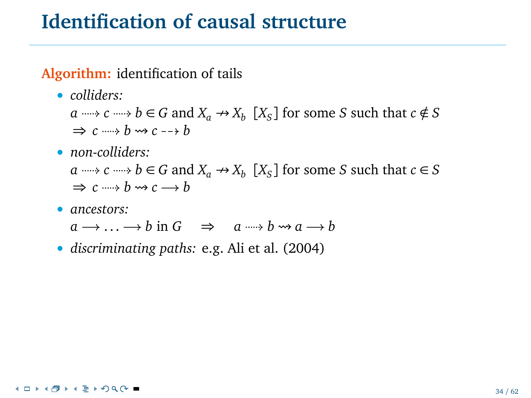**Algorithm:** identification of tails

• *colliders:*

*a c c como*  $b \in G$  *and*  $X_a \nrightarrow X_b$  [ $X_S$ ] for some *S* such that  $c \notin S$  $\Rightarrow$   $c \rightarrow b \rightarrow c \rightarrow b$ 

• *non-colliders:*

*a c c c c c d*  $K_a \rightarrow X_b$  [ $X_s$ ] for some *S* such that *c*  $\in$  *S*  $\Rightarrow$   $c \rightarrow b \rightarrow c \rightarrow b$ 

#### • *ancestors:*

 $a \rightarrow \ldots \rightarrow b$  in  $G \Rightarrow a \rightarrow b \rightarrow a \rightarrow b$ 

• *discriminating paths:* e.g. Ali et al. (2004)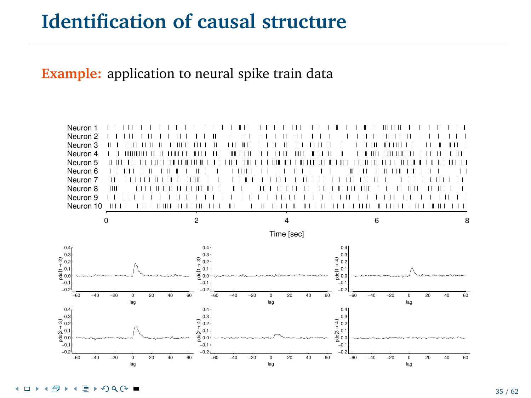**Example:** application to neural spike train data



4 D F 目 ▶ つく(\*) ■ × ٠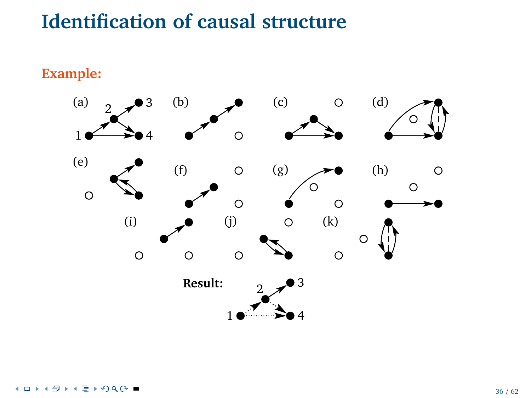**Example:**

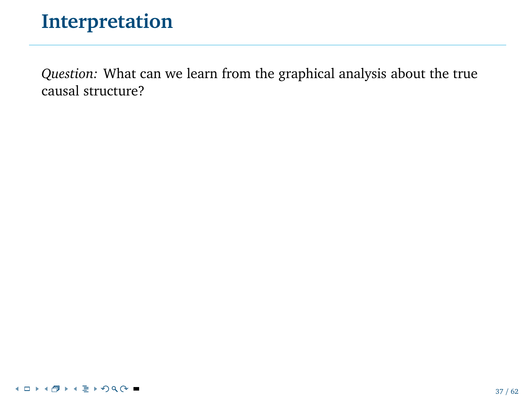*Question:* What can we learn from the graphical analysis about the true causal structure?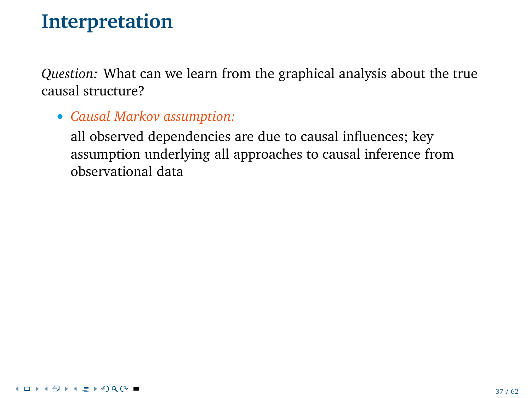*Question:* What can we learn from the graphical analysis about the true causal structure?

#### • *Causal Markov assumption:*

all observed dependencies are due to causal influences; key assumption underlying all approaches to causal inference from observational data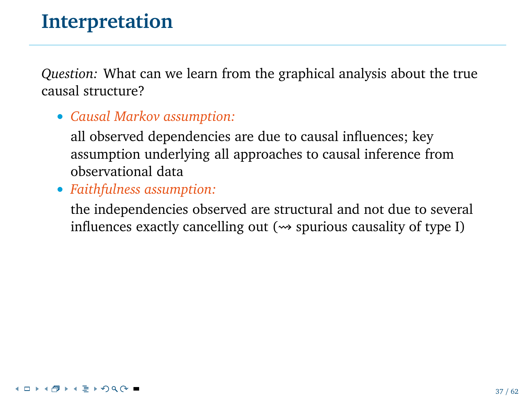*Question:* What can we learn from the graphical analysis about the true causal structure?

#### • *Causal Markov assumption:*

all observed dependencies are due to causal influences; key assumption underlying all approaches to causal inference from observational data

• *Faithfulness assumption:*

the independencies observed are structural and not due to several influences exactly cancelling out  $(\rightarrow)$  spurious causality of type I)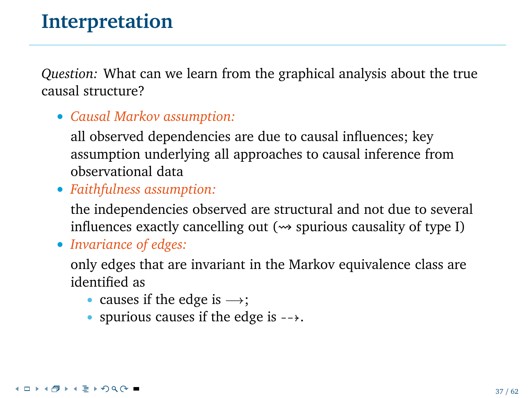*Question:* What can we learn from the graphical analysis about the true causal structure?

• *Causal Markov assumption:*

all observed dependencies are due to causal influences; key assumption underlying all approaches to causal inference from observational data

• *Faithfulness assumption:*

the independencies observed are structural and not due to several influences exactly cancelling out  $(\rightarrow)$  spurious causality of type I)

• *Invariance of edges:*

only edges that are invariant in the Markov equivalence class are identified as

- causes if the edge is  $\rightarrow$ ;
- spurious causes if the edge is  $\rightarrow$ .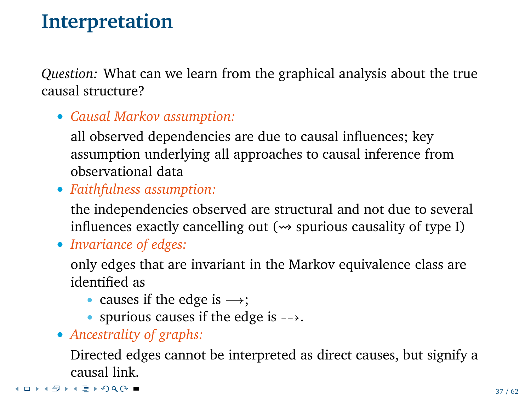*Question:* What can we learn from the graphical analysis about the true causal structure?

• *Causal Markov assumption:*

all observed dependencies are due to causal influences; key assumption underlying all approaches to causal inference from observational data

• *Faithfulness assumption:*

the independencies observed are structural and not due to several influences exactly cancelling out  $(\rightarrow)$  spurious causality of type I)

• *Invariance of edges:*

only edges that are invariant in the Markov equivalence class are identified as

- causes if the edge is  $\rightarrow$ ;
- spurious causes if the edge is  $\rightarrow$ .
- *Ancestrality of graphs:*

Directed edges cannot be interpreted as direct causes, but signify a causal link.

**K ロ ト K 倒 ト K ミ K の Q (V ■**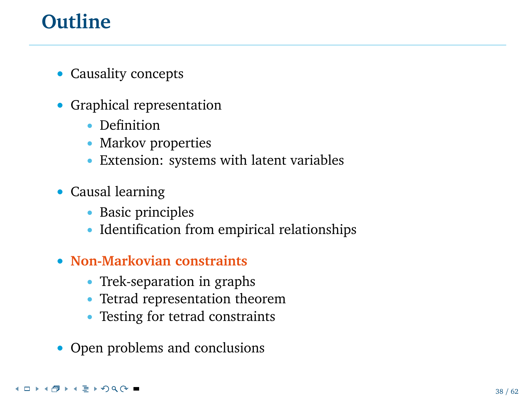# **Outline**

- Causality concepts
- Graphical representation
	- Definition
	- Markov properties
	- Extension: systems with latent variables
- Causal learning
	- Basic principles
	- Identification from empirical relationships
- **Non-Markovian constraints**
	- Trek-separation in graphs
	- Tetrad representation theorem
	- Testing for tetrad constraints
- Open problems and conclusions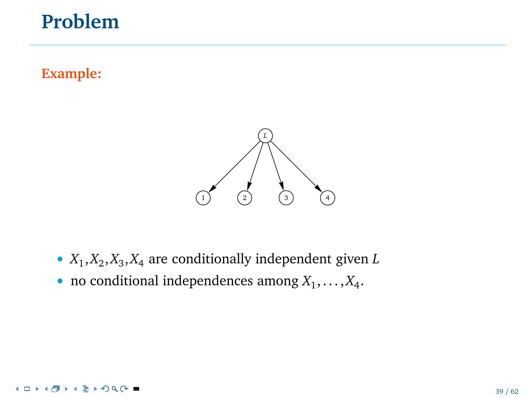# **Problem**

#### **Example:**



- *X*<sup>1</sup> ,*X*<sup>2</sup> ,*X*<sup>3</sup> ,*X*<sup>4</sup> are conditionally independent given *L*
- no conditional independences among  $X_1, \ldots, X_4$ .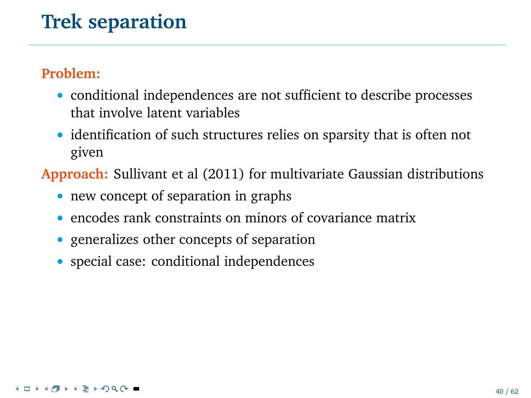# **Trek separation**

#### **Problem:**

- conditional independences are not sufficient to describe processes that involve latent variables
- identification of such structures relies on sparsity that is often not given

**Approach:** Sullivant et al (2011) for multivariate Gaussian distributions

- new concept of separation in graphs
- encodes rank constraints on minors of covariance matrix
- generalizes other concepts of separation
- special case: conditional independences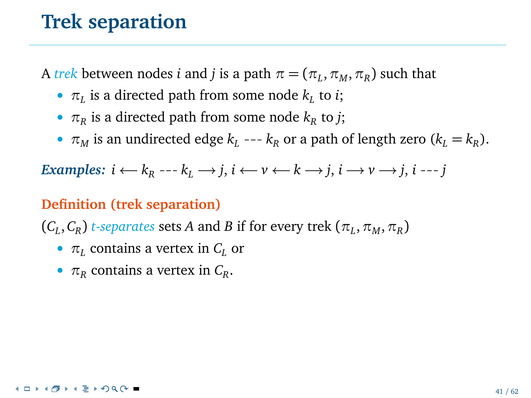### **Trek separation**

 $\bm{A}$  *trek* between nodes *i* and *j* is a path  $\pi = (\pi_L, \pi_M, \pi_R)$  such that

- $\pi_L$  is a directed path from some node  $k_L$  to *i*;
- $\pi_R$  is a directed path from some node  $k_R$  to *j*;
- $\pi_M$  is an undirected edge  $k_L$  ---  $k_R$  or a path of length zero ( $k_L = k_R$ ).

 $\mathcal{F}$  *Examples:*  $i \leftarrow k_R \leftarrow k_L \rightarrow j, i \leftarrow v \leftarrow k \rightarrow j, i \rightarrow v \rightarrow j, i \leftarrow j$ 

#### **Definition (trek separation)**

 $(C_L, C_R)$  *t-separates* sets *A* and *B* if for every trek  $(\pi_L, \pi_M, \pi_R)$ 

- *π<sup>L</sup>* contains a vertex in *C<sup>L</sup>* or
- $\pi_R$  contains a vertex in  $C_R$ .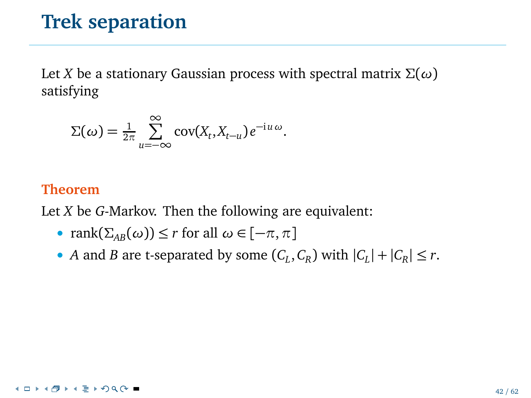### **Trek separation**

Let *X* be a stationary Gaussian process with spectral matrix *Σ*(*ω*) satisfying

$$
\Sigma(\omega) = \frac{1}{2\pi} \sum_{u=-\infty}^{\infty} \text{cov}(X_t, X_{t-u}) e^{-iu \omega}.
$$

#### **Theorem**

Let *X* be *G*-Markov. Then the following are equivalent:

- rank $(\Sigma_{AB}(\omega)) \leq r$  for all  $\omega \in [-\pi, \pi]$
- *A* and *B* are t-separated by some  $(C_L, C_R)$  with  $|C_L| + |C_R| \le r$ .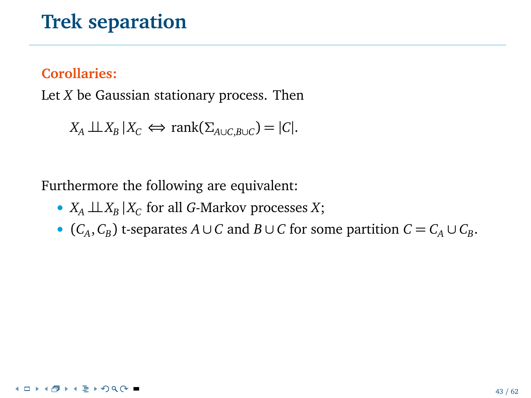## **Trek separation**

### **Corollaries:**

Let *X* be Gaussian stationary process. Then

```
X_A \perp \!\!\! \perp X_B | X_C \Leftrightarrow \text{rank}(\Sigma_{A \cup C, B \cup C}) = |C|.
```
Furthermore the following are equivalent:

- *X<sup>A</sup>* ⊥⊥*X<sup>B</sup>* |*X<sup>C</sup>* for all *G*-Markov processes *X*;
- $(C_A, C_B)$  t-separates  $A \cup C$  and  $B \cup C$  for some partition  $C = C_A \cup C_B$ .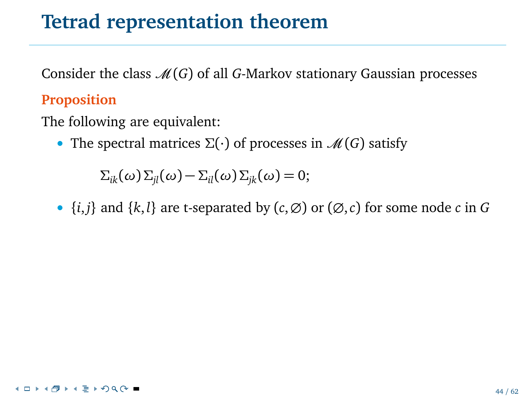## **Tetrad representation theorem**

Consider the class  $\mathcal{M}(G)$  of all *G*-Markov stationary Gaussian processes

### **Proposition**

The following are equivalent:

• The spectral matrices  $\Sigma(\cdot)$  of processes in  $\mathcal{M}(G)$  satisfy

*Σ*<sub>*ik*</sub></sub>(*ω*) *Σ*<sub>*jl*</sub>(*ω*) *− Σ<sub><i>il*</sub></sub>(*ω*) *Σ*<sub>*jk*</sub>(*ω*) = 0;

•  $\{i, j\}$  and  $\{k, l\}$  are t-separated by  $(c, \emptyset)$  or  $(\emptyset, c)$  for some node *c* in *G*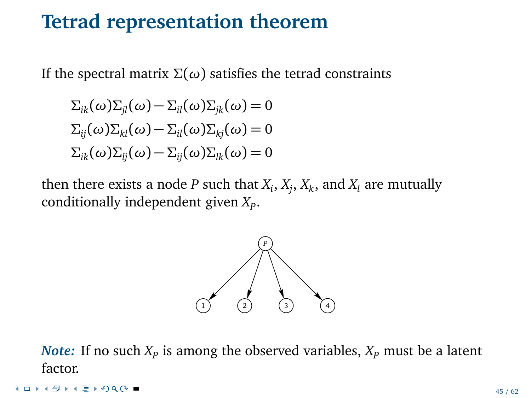## **Tetrad representation theorem**

If the spectral matrix *Σ*(*ω*) satisfies the tetrad constraints

$$
\Sigma_{ik}(\omega)\Sigma_{jl}(\omega) - \Sigma_{il}(\omega)\Sigma_{jk}(\omega) = 0
$$
  

$$
\Sigma_{ij}(\omega)\Sigma_{kl}(\omega) - \Sigma_{il}(\omega)\Sigma_{kj}(\omega) = 0
$$
  

$$
\Sigma_{ik}(\omega)\Sigma_{lj}(\omega) - \Sigma_{ij}(\omega)\Sigma_{lk}(\omega) = 0
$$

then there exists a node  $P$  such that  $X_i, X_j, X_k,$  and  $X_l$  are mutually conditionally independent given *X<sup>P</sup>* .



*Note:* If no such  $X_p$  is among the observed variables,  $X_p$  must be a latent factor.

**≮ロト⊀母ト⊀ ミトのQ ⊙ ■**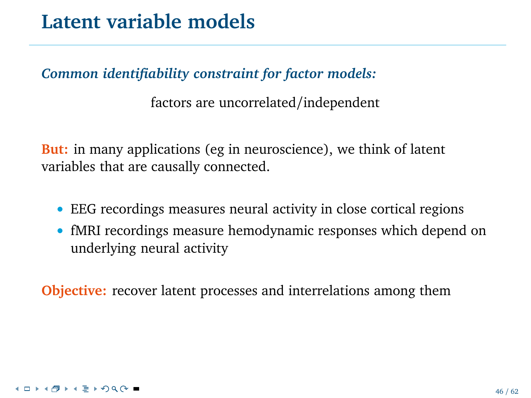*Common identifiability constraint for factor models:*

factors are uncorrelated/independent

**But:** in many applications (eg in neuroscience), we think of latent variables that are causally connected.

- EEG recordings measures neural activity in close cortical regions
- fMRI recordings measure hemodynamic responses which depend on underlying neural activity

**Objective:** recover latent processes and interrelations among them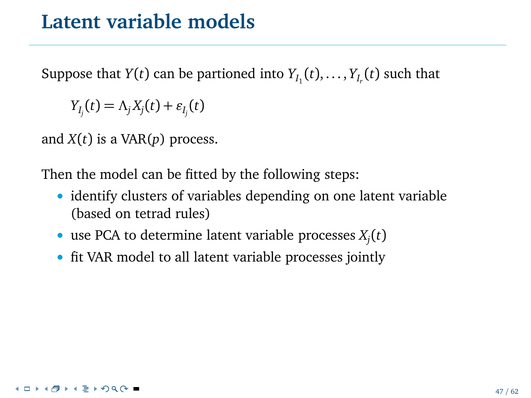Suppose that  $Y(t)$  can be partioned into  $Y_{I_1}(t),...,Y_{I_r}(t)$  such that

*Y*<sub>*I<sub>j</sub>*</sub>(*t*) = *Λ<sub>j</sub> X<sub>j</sub>*(*t*) + *ε*<sub>*I<sub>j</sub>*</sub>(*t*)

and *X*(*t*) is a VAR(*p*) process.

Then the model can be fitted by the following steps:

- identify clusters of variables depending on one latent variable (based on tetrad rules)
- use PCA to determine latent variable processes  $X_j(t)$
- fit VAR model to all latent variable processes jointly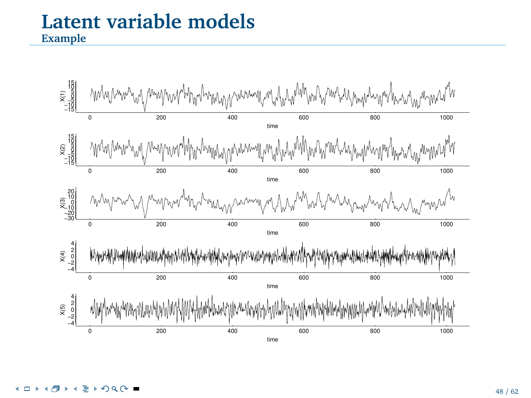## **Latent variable models Example**

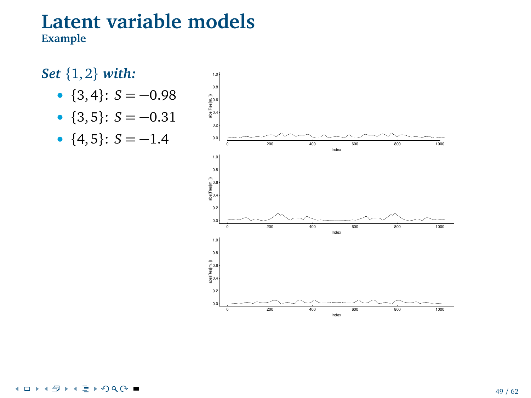### **Example**

## *Set* {1, 2} *with:*

- ${3, 4}$ :  $S = -0.98$
- ${3, 5}$ :  $S = -0.31$
- ${4, 5}$ :  $S = -1.4$



#### $\sqrt{2}$ 4 n.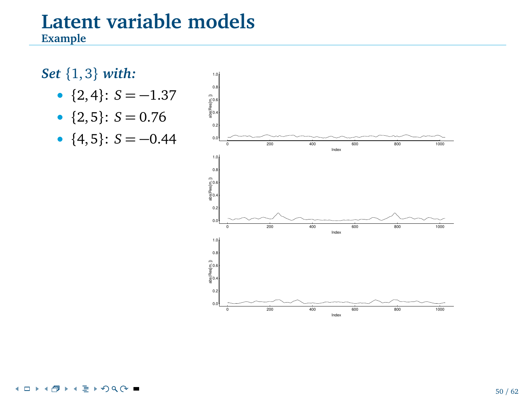### **Example**

#### *Set* {1, 3} *with:* •  ${2, 4}$ :  $S = -1.37$ •  ${2, 5}$ :  $S = 0.76$ •  ${4, 5}$ :  $S = -0.44$ 0.0 0.2 ğ., 0.6 0.8 1.0 Index abs(Res[m, ]) 0 200 400 600 800 1000 0.0  $0.2$ 0.4 0.6 0.8 1.0 Index abs(Res[m, ]) 0 200 400 600 800 1000 0.0  $\alpha$ g., 0.6 0.8 1.0 Index abs(Res[m, ])

#### $\sqrt{2}$ 4 n.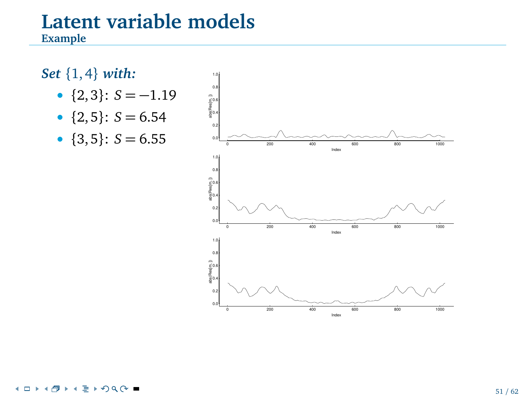### **Example**

## *Set* {1, 4} *with:*

- ${2,3}$ :  $S = -1.19$
- ${2, 5}$ :  $S = 6.54$
- $\{3, 5\}$ :  $S = 6.55$

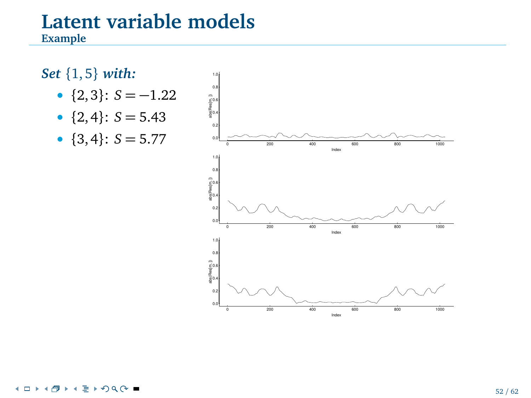### **Example**

## *Set* {1, 5} *with:*

- ${2, 3}$ :  $S = -1.22$
- ${2, 4}$ :  $S = 5.43$
- ${3, 4}$ :  $S = 5.77$

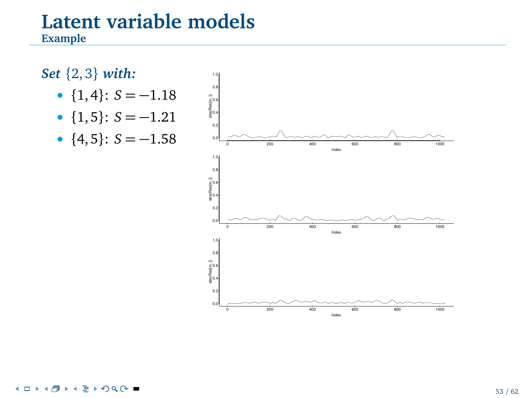### **Example**

## *Set* {2, 3} *with:*

- ${1, 4}$ :  $S = -1.18$
- ${1, 5}$ :  $S = -1.21$
- ${4, 5}$ :  $S = -1.58$



#### $\sqrt{2}$ n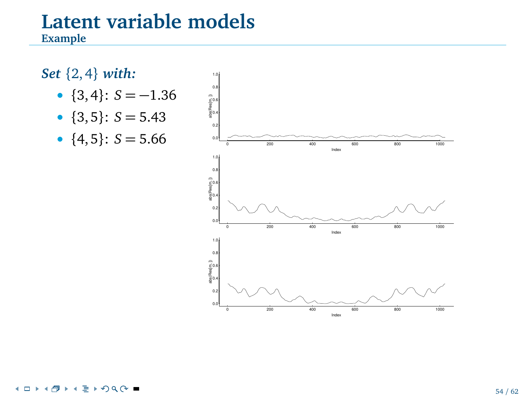### **Example**

#### *Set* {2, 4} *with:* •  ${3, 4}$ : *S* = -1.36 •  ${3, 5}$ : *S* = 5.43 •  ${4, 5}$ :  $S = 5.66$ 0.0  $\alpha$ ğ., 0.6 0.8 1.0 Index abs(Res[m, ]) 0 200 400 600 800 1000 0.0 0.2 0.4 0.6 0.8 1.0 Index abs(Res[m, ]) 0 200 400 600 800 1000 0.0 0.2 0.4 0.6 0.8 1.0 abs(Res[m, ])

Index

#### $290^\circ$ 4 n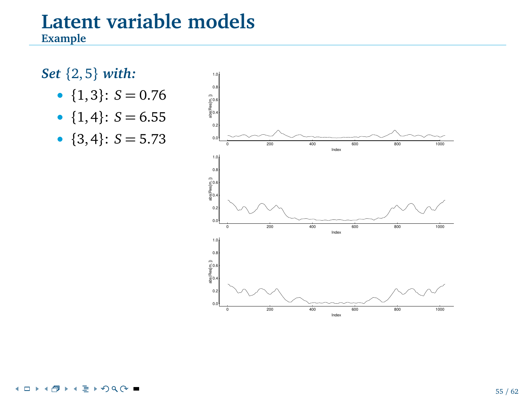### **Example**

## *Set* {2, 5} *with:*

- ${1, 3}$ :  $S = 0.76$
- ${1, 4}$ : *S* = 6.55
- ${3, 4}$ :  $S = 5.73$



#### $290^\circ$ 4 n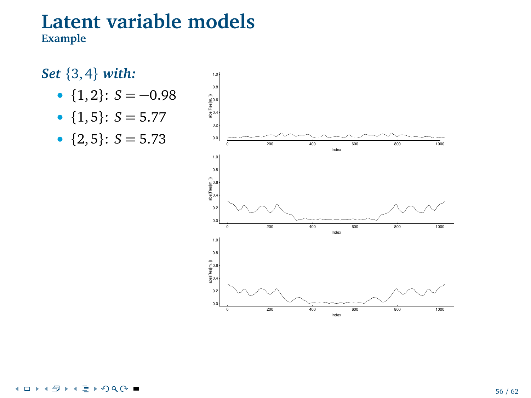### **Example**

## *Set* {3, 4} *with:*

- ${1, 2}$ :  $S = -0.98$
- ${1, 5}$ : *S* = 5.77
- ${2, 5}$ :  $S = 5.73$

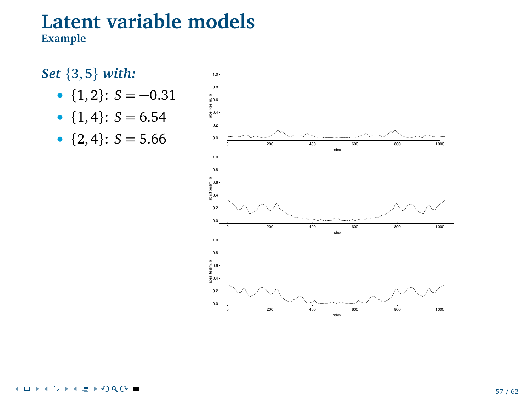**Example**

## *Set* {3, 5} *with:*

- ${1, 2}$ :  $S = -0.31$
- ${1, 4}$ :  $S = 6.54$
- ${2, 4}$ :  $S = 5.66$

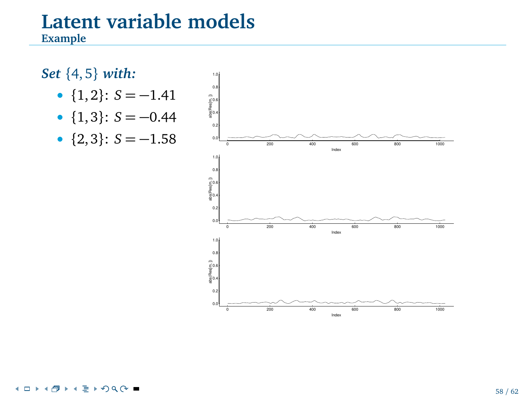**Example**



#### $\sqrt{2}$ 4 n.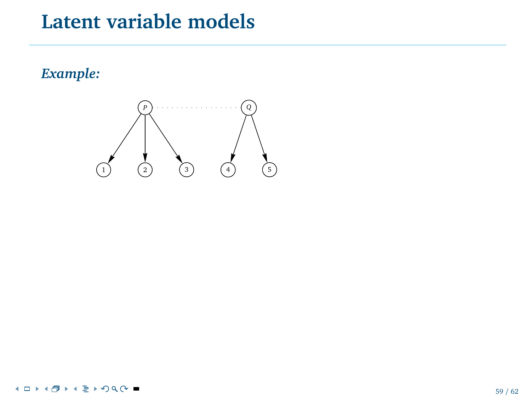## *Example:*

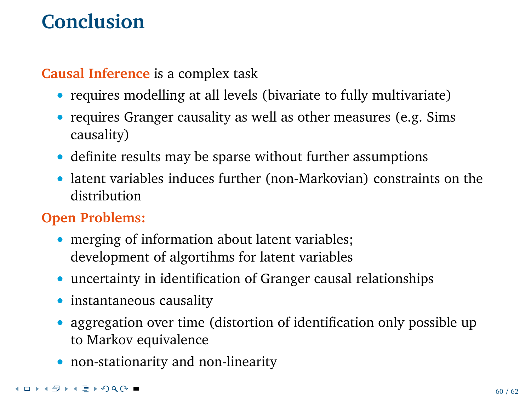## **Conclusion**

**Causal Inference** is a complex task

- requires modelling at all levels (bivariate to fully multivariate)
- requires Granger causality as well as other measures (e.g. Sims) causality)
- definite results may be sparse without further assumptions
- latent variables induces further (non-Markovian) constraints on the distribution

## **Open Problems:**

- merging of information about latent variables; development of algortihms for latent variables
- uncertainty in identification of Granger causal relationships
- instantaneous causality
- aggregation over time (distortion of identification only possible up to Markov equivalence
- non-stationarity and non-linearity

### **≮ロト⊀母ト⊀ ミトのQ ⊙ ■**